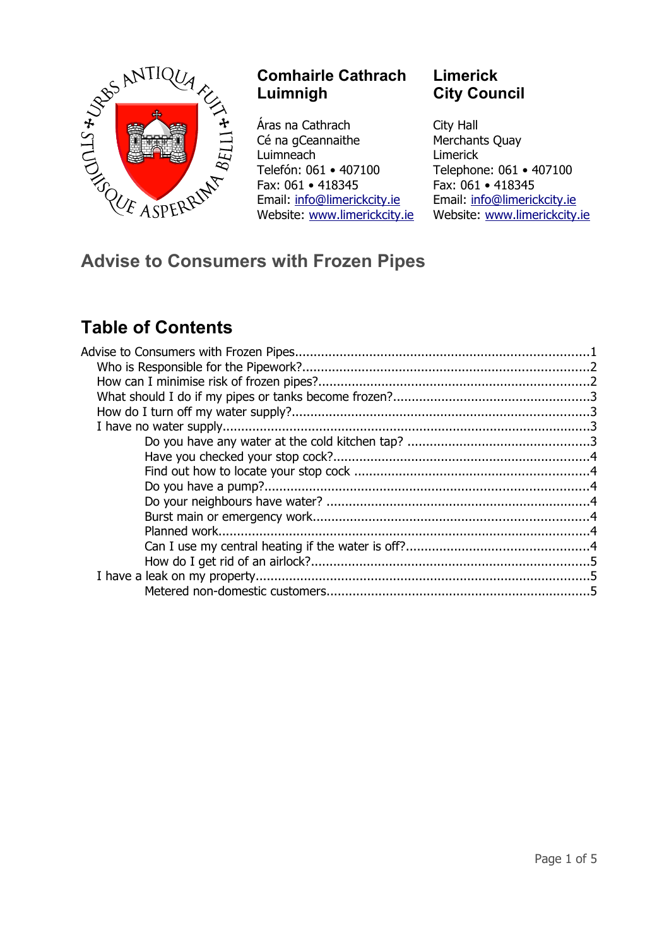

## **Comhairle Cathrach Luimnigh**

Áras na Cathrach Cé na gCeannaithe Luimneach Telefón: 061 • 407100 Fax: 061 • 418345 Email: [info@limerickcity.ie](mailto:info@limerickcity.ie) Website: [www.limerickcity.ie](http://www.limerickcity.ie/)

## **Limerick City Council**

City Hall Merchants Quay Limerick Telephone: 061 • 407100 Fax: 061 • 418345 Email: [info@limerickcity.ie](mailto:info@limerickcity.ie) Website: [www.limerickcity.ie](http://www.limerickcity.ie/)

# **Advise to Consumers with Frozen Pipes**

# **Table of Contents**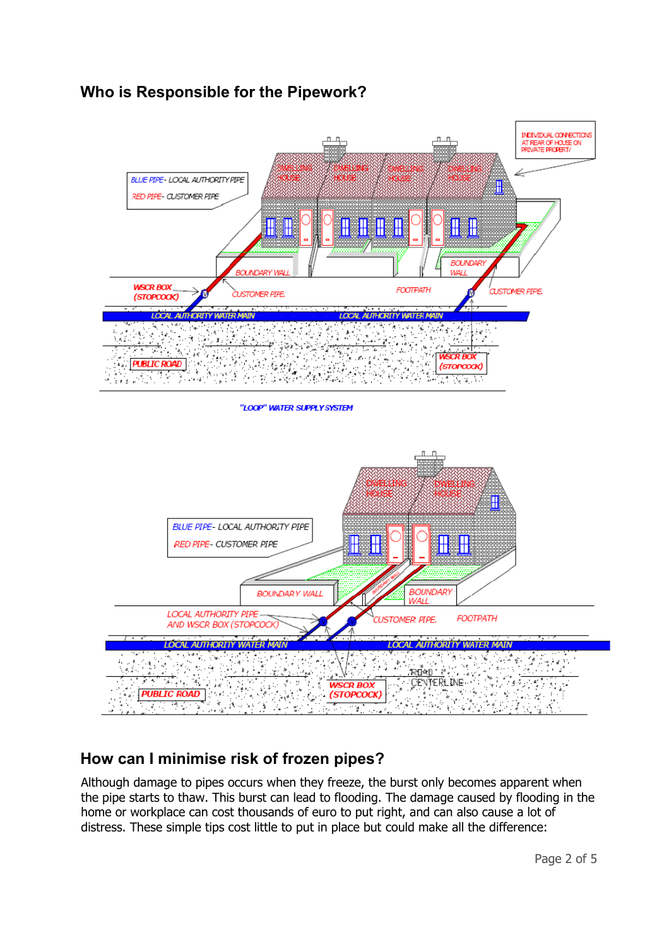## **Who is Responsible for the Pipework?**





# **How can I minimise risk of frozen pipes?**

Although damage to pipes occurs when they freeze, the burst only becomes apparent when the pipe starts to thaw. This burst can lead to flooding. The damage caused by flooding in the home or workplace can cost thousands of euro to put right, and can also cause a lot of distress. These simple tips cost little to put in place but could make all the difference: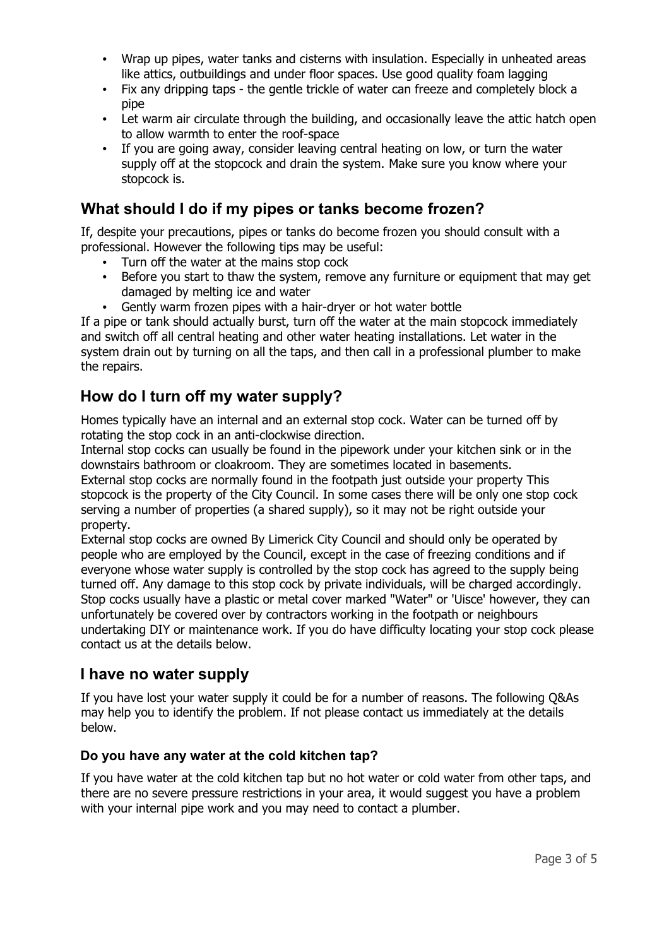- Wrap up pipes, water tanks and cisterns with insulation. Especially in unheated areas like attics, outbuildings and under floor spaces. Use good quality foam lagging
- Fix any dripping taps the gentle trickle of water can freeze and completely block a pipe
- Let warm air circulate through the building, and occasionally leave the attic hatch open to allow warmth to enter the roof-space
- If you are going away, consider leaving central heating on low, or turn the water supply off at the stopcock and drain the system. Make sure you know where your stopcock is.

## **What should I do if my pipes or tanks become frozen?**

If, despite your precautions, pipes or tanks do become frozen you should consult with a professional. However the following tips may be useful:

- Turn off the water at the mains stop cock
- Before you start to thaw the system, remove any furniture or equipment that may get damaged by melting ice and water
- Gently warm frozen pipes with a hair-dryer or hot water bottle

If a pipe or tank should actually burst, turn off the water at the main stopcock immediately and switch off all central heating and other water heating installations. Let water in the system drain out by turning on all the taps, and then call in a professional plumber to make the repairs.

## **How do I turn off my water supply?**

Homes typically have an internal and an external stop cock. Water can be turned off by rotating the stop cock in an anti-clockwise direction.

Internal stop cocks can usually be found in the pipework under your kitchen sink or in the downstairs bathroom or cloakroom. They are sometimes located in basements.

External stop cocks are normally found in the footpath just outside your property This stopcock is the property of the City Council. In some cases there will be only one stop cock serving a number of properties (a shared supply), so it may not be right outside your property.

External stop cocks are owned By Limerick City Council and should only be operated by people who are employed by the Council, except in the case of freezing conditions and if everyone whose water supply is controlled by the stop cock has agreed to the supply being turned off. Any damage to this stop cock by private individuals, will be charged accordingly. Stop cocks usually have a plastic or metal cover marked "Water" or 'Uisce' however, they can unfortunately be covered over by contractors working in the footpath or neighbours undertaking DIY or maintenance work. If you do have difficulty locating your stop cock please contact us at the details below.

## **I have no water supply**

If you have lost your water supply it could be for a number of reasons. The following Q&As may help you to identify the problem. If not please contact us immediately at the details below.

## **Do you have any water at the cold kitchen tap?**

If you have water at the cold kitchen tap but no hot water or cold water from other taps, and there are no severe pressure restrictions in your area, it would suggest you have a problem with your internal pipe work and you may need to contact a plumber.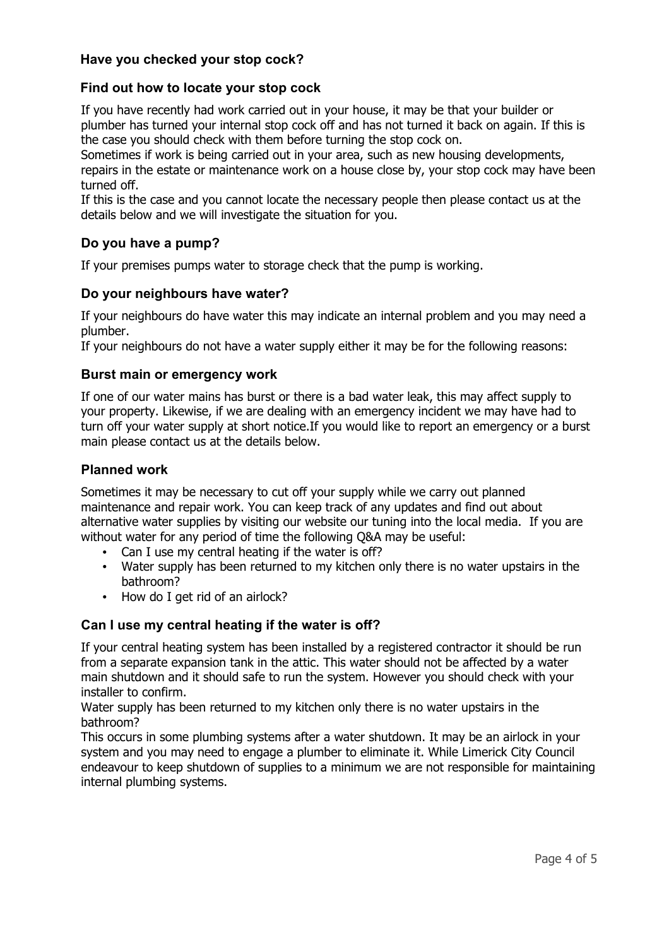### **Have you checked your stop cock?**

#### **Find out how to locate your stop cock**

If you have recently had work carried out in your house, it may be that your builder or plumber has turned your internal stop cock off and has not turned it back on again. If this is the case you should check with them before turning the stop cock on.

Sometimes if work is being carried out in your area, such as new housing developments, repairs in the estate or maintenance work on a house close by, your stop cock may have been turned off.

If this is the case and you cannot locate the necessary people then please contact us at the details below and we will investigate the situation for you.

#### **Do you have a pump?**

If your premises pumps water to storage check that the pump is working.

#### **Do your neighbours have water?**

If your neighbours do have water this may indicate an internal problem and you may need a plumber.

If your neighbours do not have a water supply either it may be for the following reasons:

#### **Burst main or emergency work**

If one of our water mains has burst or there is a bad water leak, this may affect supply to your property. Likewise, if we are dealing with an emergency incident we may have had to turn off your water supply at short notice.If you would like to report an emergency or a burst main please contact us at the details below.

#### **Planned work**

Sometimes it may be necessary to cut off your supply while we carry out planned maintenance and repair work. You can keep track of any updates and find out about alternative water supplies by visiting our website our tuning into the local media. If you are without water for any period of time the following Q&A may be useful:

- Can I use my central heating if the water is off?
- Water supply has been returned to my kitchen only there is no water upstairs in the bathroom?
- How do I get rid of an airlock?

#### **Can I use my central heating if the water is off?**

If your central heating system has been installed by a registered contractor it should be run from a separate expansion tank in the attic. This water should not be affected by a water main shutdown and it should safe to run the system. However you should check with your installer to confirm.

Water supply has been returned to my kitchen only there is no water upstairs in the bathroom?

This occurs in some plumbing systems after a water shutdown. It may be an airlock in your system and you may need to engage a plumber to eliminate it. While Limerick City Council endeavour to keep shutdown of supplies to a minimum we are not responsible for maintaining internal plumbing systems.